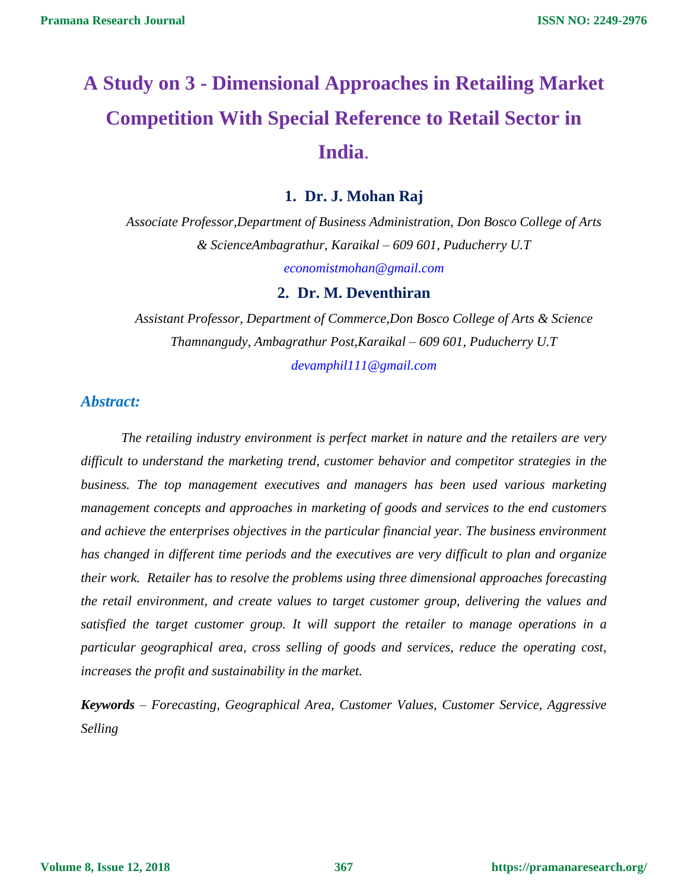# **A Study on 3 - Dimensional Approaches in Retailing Market Competition With Special Reference to Retail Sector in India**.

### **1. Dr. J. Mohan Raj**

*Associate Professor,Department of Business Administration, Don Bosco College of Arts & ScienceAmbagrathur, Karaikal – 609 601, Puducherry U.T [economistmohan@gmail.com](mailto:economistmohan@gmail.com)*

#### **2. Dr. M. Deventhiran**

*Assistant Professor, Department of Commerce,Don Bosco College of Arts & Science Thamnangudy, Ambagrathur Post,Karaikal – 609 601, Puducherry U.T [devamphil111@gmail.com](mailto:devamphil111@gmail.com)*

#### *Abstract:*

*The retailing industry environment is perfect market in nature and the retailers are very difficult to understand the marketing trend, customer behavior and competitor strategies in the business. The top management executives and managers has been used various marketing management concepts and approaches in marketing of goods and services to the end customers and achieve the enterprises objectives in the particular financial year. The business environment has changed in different time periods and the executives are very difficult to plan and organize their work. Retailer has to resolve the problems using three dimensional approaches forecasting the retail environment, and create values to target customer group, delivering the values and satisfied the target customer group. It will support the retailer to manage operations in a particular geographical area, cross selling of goods and services, reduce the operating cost, increases the profit and sustainability in the market.* 

*Keywords – Forecasting, Geographical Area, Customer Values, Customer Service, Aggressive Selling*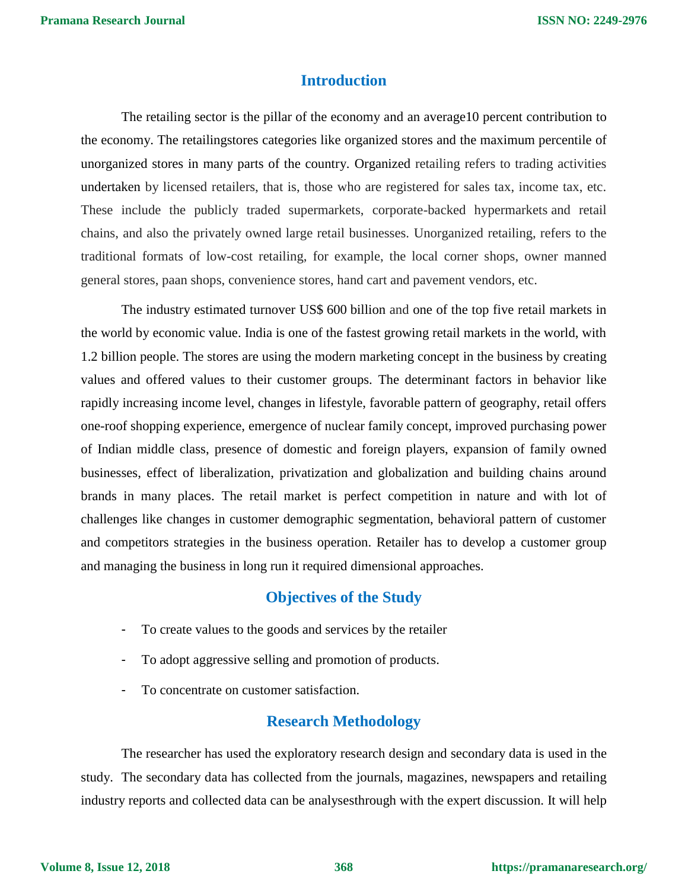#### **Introduction**

The retailing sector is the pillar of the economy and an average10 percent contribution to the economy. The retailingstores categories like organized stores and the maximum percentile of unorganized stores in many parts of the country. Organized retailing refers to trading activities undertaken by licensed retailers, that is, those who are registered for sales tax, income tax, etc. These include the publicly traded supermarkets, corporate-backed hypermarkets and retail chains, and also the privately owned large retail businesses. Unorganized retailing, refers to the traditional formats of low-cost retailing, for example, the local corner shops, owner manned general stores, paan shops, convenience stores, hand cart and pavement vendors, etc.

The industry estimated turnover [US\\$](https://en.wikipedia.org/wiki/United_States_dollar) 600 [billion](https://en.wikipedia.org/wiki/1000000000_(number)) and one of the top five retail markets in the world by economic value. India is one of the fastest growing retail markets in the world, with 1.2 billion people. The stores are using the modern marketing concept in the business by creating values and offered values to their customer groups. The determinant factors in behavior like rapidly increasing income level, changes in lifestyle, favorable pattern of geography, retail offers one-roof shopping experience, emergence of nuclear family concept, improved purchasing power of Indian middle class, presence of domestic and foreign players, expansion of family owned businesses, effect of liberalization, privatization and globalization and building chains around brands in many places. The retail market is perfect competition in nature and with lot of challenges like changes in customer demographic segmentation, behavioral pattern of customer and competitors strategies in the business operation. Retailer has to develop a customer group and managing the business in long run it required dimensional approaches.

#### **Objectives of the Study**

- To create values to the goods and services by the retailer
- To adopt aggressive selling and promotion of products.
- To concentrate on customer satisfaction.

## **Research Methodology**

The researcher has used the exploratory research design and secondary data is used in the study. The secondary data has collected from the journals, magazines, newspapers and retailing industry reports and collected data can be analysesthrough with the expert discussion. It will help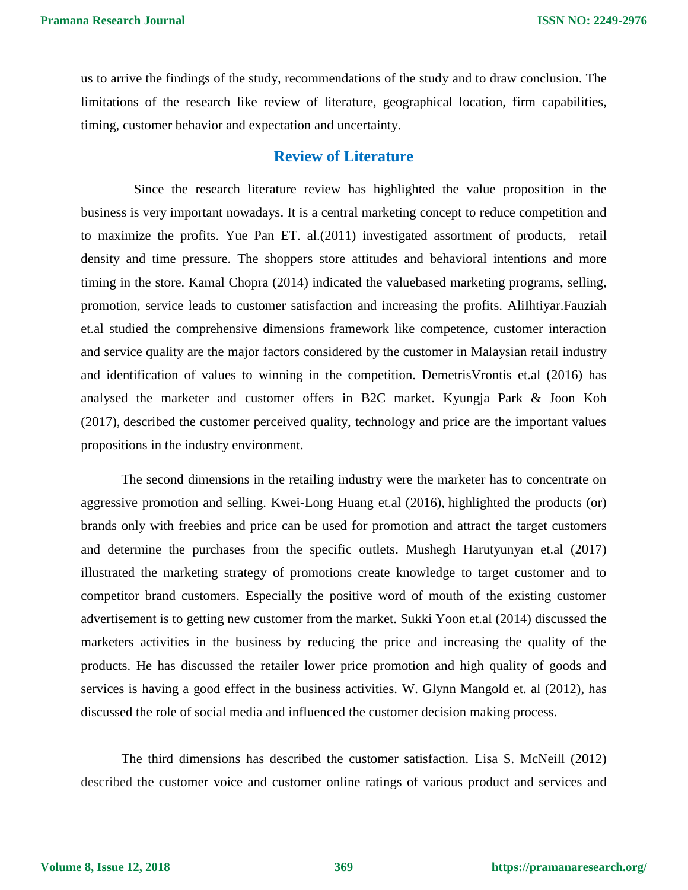us to arrive the findings of the study, recommendations of the study and to draw conclusion. The limitations of the research like review of literature, geographical location, firm capabilities, timing, customer behavior and expectation and uncertainty.

## **Review of Literature**

Since the research literature review has highlighted the value proposition in the business is very important nowadays. It is a central marketing concept to reduce competition and to maximize the profits. Yue Pan ET. al.(2011) investigated assortment of products, retail density and time pressure. The shoppers store attitudes and behavioral intentions and more timing in the store. Kamal Chopra (2014) indicated the valuebased marketing programs, selling, promotion, service leads to customer satisfaction and increasing the profits. AliIhtiyar.Fauziah et.al studied the comprehensive dimensions framework like competence, customer interaction and service quality are the major factors considered by the customer in Malaysian retail industry and identification of values to winning in the competition. DemetrisVrontis et.al (2016) has analysed the marketer and customer offers in B2C market. Kyungja Park & Joon Koh (2017), described the customer perceived quality, technology and price are the important values propositions in the industry environment.

The second dimensions in the retailing industry were the marketer has to concentrate on aggressive promotion and selling. Kwei-Long Huang et.al (2016), highlighted the products (or) brands only with freebies and price can be used for promotion and attract the target customers and determine the purchases from the specific outlets. Mushegh Harutyunyan et.al (2017) illustrated the marketing strategy of promotions create knowledge to target customer and to competitor brand customers. Especially the positive word of mouth of the existing customer advertisement is to getting new customer from the market. Sukki Yoon et.al (2014) discussed the marketers activities in the business by reducing the price and increasing the quality of the products. He has discussed the retailer lower price promotion and high quality of goods and services is having a good effect in the business activities. W. Glynn Mangold et. al (2012), has discussed the role of social media and influenced the customer decision making process.

The third dimensions has described the customer satisfaction. Lisa S. McNeill (2012) described the customer voice and customer online ratings of various product and services and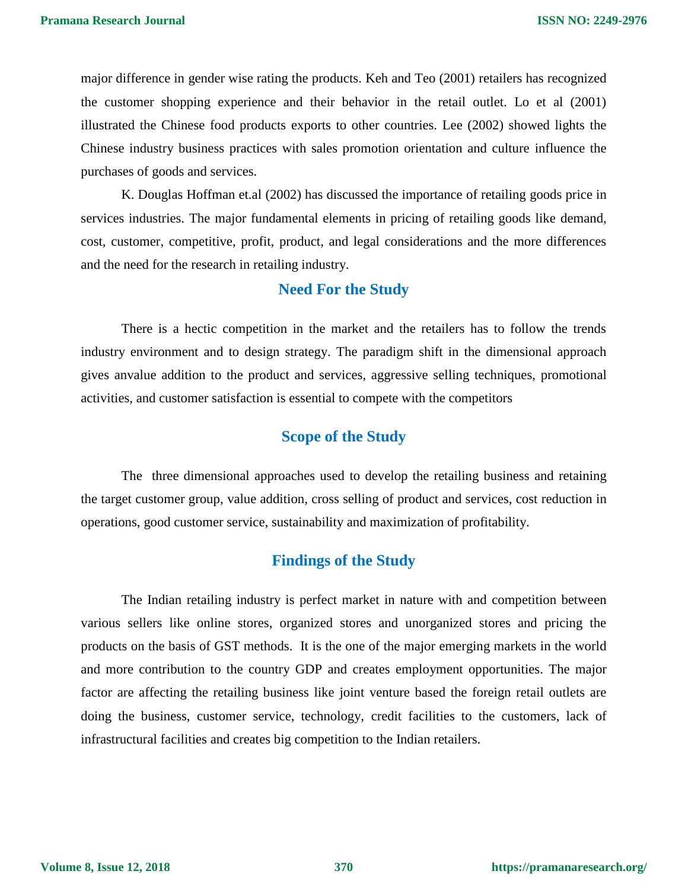major difference in gender wise rating the products. Keh and Teo (2001) retailers has recognized the customer shopping experience and their behavior in the retail outlet. Lo et al (2001) illustrated the Chinese food products exports to other countries. Lee (2002) showed lights the Chinese industry business practices with sales promotion orientation and culture influence the purchases of goods and services.

K. Douglas Hoffman et.al (2002) has discussed the importance of retailing goods price in services industries. The major fundamental elements in pricing of retailing goods like demand, cost, customer, competitive, profit, product, and legal considerations and the more differences and the need for the research in retailing industry.

## **Need For the Study**

There is a hectic competition in the market and the retailers has to follow the trends industry environment and to design strategy. The paradigm shift in the dimensional approach gives anvalue addition to the product and services, aggressive selling techniques, promotional activities, and customer satisfaction is essential to compete with the competitors

# **Scope of the Study**

The three dimensional approaches used to develop the retailing business and retaining the target customer group, value addition, cross selling of product and services, cost reduction in operations, good customer service, sustainability and maximization of profitability.

# **Findings of the Study**

The Indian retailing industry is perfect market in nature with and competition between various sellers like online stores, organized stores and unorganized stores and pricing the products on the basis of GST methods. It is the one of the major emerging markets in the world and more contribution to the country GDP and creates employment opportunities. The major factor are affecting the retailing business like joint venture based the foreign retail outlets are doing the business, customer service, technology, credit facilities to the customers, lack of infrastructural facilities and creates big competition to the Indian retailers.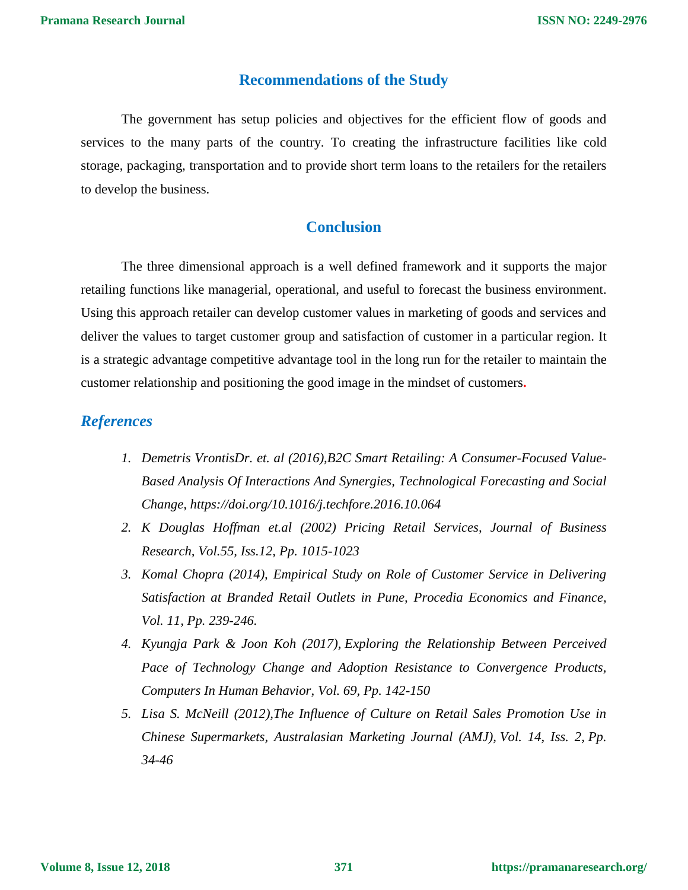### **Recommendations of the Study**

The government has setup policies and objectives for the efficient flow of goods and services to the many parts of the country. To creating the infrastructure facilities like cold storage, packaging, transportation and to provide short term loans to the retailers for the retailers to develop the business.

## **Conclusion**

The three dimensional approach is a well defined framework and it supports the major retailing functions like managerial, operational, and useful to forecast the business environment. Using this approach retailer can develop customer values in marketing of goods and services and deliver the values to target customer group and satisfaction of customer in a particular region. It is a strategic advantage competitive advantage tool in the long run for the retailer to maintain the customer relationship and positioning the good image in the mindset of customers**.** 

## *References*

- *1. Demetris VrontisDr. et. al (2016),B2C Smart Retailing: A Consumer-Focused Value-Based Analysis Of Interactions And Synergies, [Technological Forecasting and Social](http://www.sciencedirect.com/science/journal/00401625)  [Change,](http://www.sciencedirect.com/science/journal/00401625)<https://doi.org/10.1016/j.techfore.2016.10.064>*
- *2. K Douglas Hoffman et.al (2002) Pricing Retail Services, Journal of Business Research, Vol.55, Iss.12, Pp. 1015-1023*
- *3. Komal Chopra (2014), Empirical Study on Role of Customer Service in Delivering Satisfaction at Branded Retail Outlets in Pune, [Procedia Economics and Finance,](http://www.sciencedirect.com/science/journal/22125671) [Vol.](http://www.sciencedirect.com/science/journal/22125671/11/supp/C) 11, Pp. 239-246.*
- *4. Kyungja Park & Joon Koh (2017), [Exploring the Relationship Between Perceived](http://www.sciencedirect.com/science/article/pii/S0747563216308378)  [Pace of Technology Change and Adoption Resistance to Convergence Products,](http://www.sciencedirect.com/science/article/pii/S0747563216308378) Computers In Human Behavior, Vol. 69, Pp. 142-150*
- *5. Lisa S. McNeill (2012)[,The Influence of Culture on Retail Sales Promotion Use in](http://www.sciencedirect.com/science/article/pii/S1441358206700593)  [Chinese Supermarkets,](http://www.sciencedirect.com/science/article/pii/S1441358206700593) Australasian Marketing Journal (AMJ), Vol. 14, Iss. 2, Pp. 34-46*